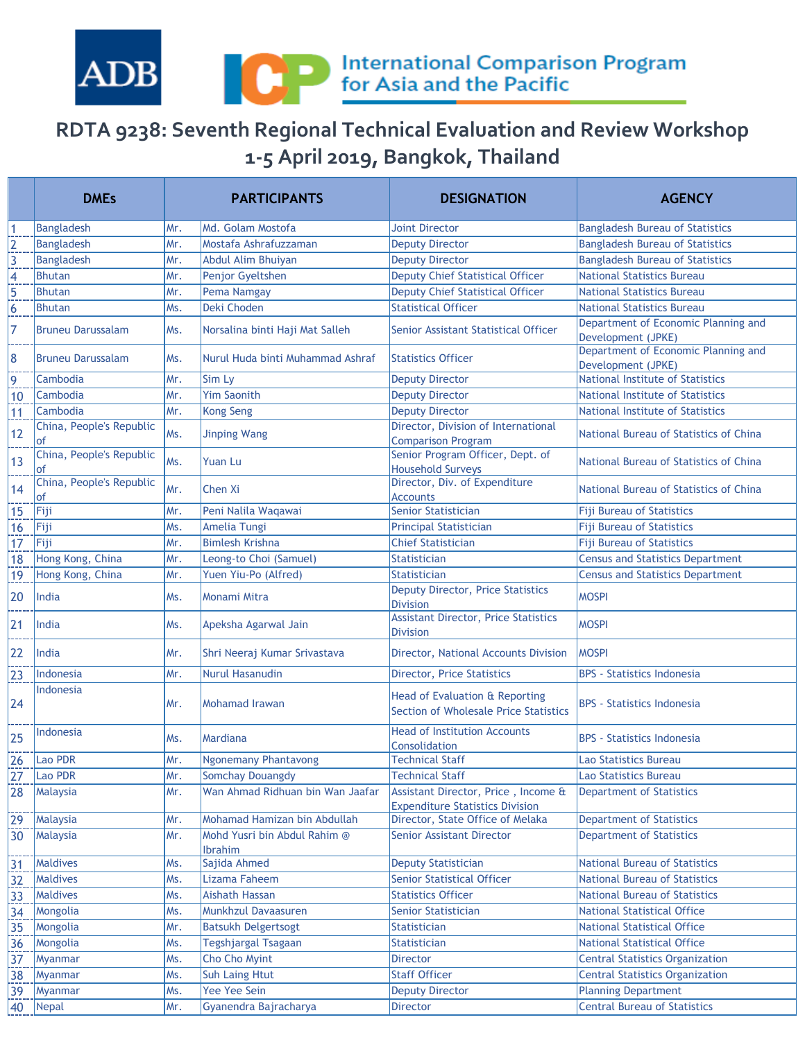

## **RDTA 9238: Seventh Regional Technical Evaluation and Review Workshop 1-5 April 2019, Bangkok, Thailand**

|                | <b>DMEs</b>                    |      | <b>PARTICIPANTS</b>                     | <b>DESIGNATION</b>                                                            | <b>AGENCY</b>                                             |
|----------------|--------------------------------|------|-----------------------------------------|-------------------------------------------------------------------------------|-----------------------------------------------------------|
| 1              | <b>Bangladesh</b>              | lMr. | Md. Golam Mostofa                       | <b>Joint Director</b>                                                         | <b>Bangladesh Bureau of Statistics</b>                    |
|                | <b>Bangladesh</b>              | Mr.  | Mostafa Ashrafuzzaman                   | <b>Deputy Director</b>                                                        | <b>Bangladesh Bureau of Statistics</b>                    |
| $\frac{2}{3}$  | <b>Bangladesh</b>              | Mr.  | Abdul Alim Bhuiyan                      | <b>Deputy Director</b>                                                        | <b>Bangladesh Bureau of Statistics</b>                    |
| $\overline{4}$ | <b>Bhutan</b>                  | Mr.  | Penjor Gyeltshen                        | <b>Deputy Chief Statistical Officer</b>                                       | <b>National Statistics Bureau</b>                         |
| 5              | <b>Bhutan</b>                  | Mr.  | Pema Namgay                             | <b>Deputy Chief Statistical Officer</b>                                       | <b>National Statistics Bureau</b>                         |
| 6              | <b>Bhutan</b>                  | Ms.  | Deki Choden                             | <b>Statistical Officer</b>                                                    | <b>National Statistics Bureau</b>                         |
| 7              | <b>Bruneu Darussalam</b>       | Ms.  | Norsalina binti Haji Mat Salleh         | Senior Assistant Statistical Officer                                          | Department of Economic Planning and<br>Development (JPKE) |
| 8              | <b>Bruneu Darussalam</b>       | Ms.  | Nurul Huda binti Muhammad Ashraf        | <b>Statistics Officer</b>                                                     | Department of Economic Planning and<br>Development (JPKE) |
| 9              | Cambodia                       | lMr. | Sim Ly                                  | <b>Deputy Director</b>                                                        | <b>National Institute of Statistics</b>                   |
| 10             | Cambodia                       | Mr.  | <b>Yim Saonith</b>                      | <b>Deputy Director</b>                                                        | <b>National Institute of Statistics</b>                   |
| 11             | Cambodia                       | Mr.  | <b>Kong Seng</b>                        | <b>Deputy Director</b>                                                        | <b>National Institute of Statistics</b>                   |
| 12             | China, People's Republic<br>of | Ms.  | <b>Jinping Wang</b>                     | Director, Division of International<br><b>Comparison Program</b>              | National Bureau of Statistics of China                    |
| 13             | China, People's Republic<br>of | Ms.  | Yuan Lu                                 | Senior Program Officer, Dept. of<br><b>Household Surveys</b>                  | National Bureau of Statistics of China                    |
| 14             | China, People's Republic<br>of | Mr.  | Chen Xi                                 | Director, Div. of Expenditure<br><b>Accounts</b>                              | National Bureau of Statistics of China                    |
| 15             | Fiji                           | Mr.  | Peni Nalila Waqawai                     | <b>Senior Statistician</b>                                                    | <b>Fiji Bureau of Statistics</b>                          |
| 16             | Fiji                           | Ms.  | Amelia Tungi                            | <b>Principal Statistician</b>                                                 | <b>Fiji Bureau of Statistics</b>                          |
| 17             | Fiji                           | lMr. | <b>Bimlesh Krishna</b>                  | <b>Chief Statistician</b>                                                     | <b>Fiji Bureau of Statistics</b>                          |
| 18             | Hong Kong, China               | Mr.  | Leong-to Choi (Samuel)                  | <b>Statistician</b>                                                           | <b>Census and Statistics Department</b>                   |
| 19             | Hong Kong, China               | Mr.  | Yuen Yiu-Po (Alfred)                    | <b>Statistician</b>                                                           | <b>Census and Statistics Department</b>                   |
| 20             | India                          | lMs. | Monami Mitra                            | Deputy Director, Price Statistics<br><b>Division</b>                          | <b>MOSPI</b>                                              |
| 21             | India                          | Ms.  | Apeksha Agarwal Jain                    | <b>Assistant Director, Price Statistics</b><br><b>Division</b>                | <b>MOSPI</b>                                              |
| 22             | India                          | lMr. | Shri Neeraj Kumar Srivastava            | Director, National Accounts Division                                          | <b>MOSPI</b>                                              |
| 23             | Indonesia                      | Mr.  | <b>Nurul Hasanudin</b>                  | <b>Director, Price Statistics</b>                                             | <b>BPS</b> - Statistics Indonesia                         |
| 24             | Indonesia                      | Mr.  | Mohamad Irawan                          | Head of Evaluation & Reporting<br>Section of Wholesale Price Statistics       | <b>BPS - Statistics Indonesia</b>                         |
| 25             | Indonesia                      | Ms.  | Mardiana                                | <b>Head of Institution Accounts</b><br>Consolidation                          | <b>BPS - Statistics Indonesia</b>                         |
| 26             | Lao PDR                        | Mr.  | Ngonemany Phantavong                    | <b>Technical Staff</b>                                                        | <b>Lao Statistics Bureau</b>                              |
| $\frac{27}{2}$ | Lao PDR                        | Mr.  | Somchay Douangdy                        | <b>Technical Staff</b>                                                        | Lao Statistics Bureau                                     |
| 28             | Malaysia                       | Mr.  | Wan Ahmad Ridhuan bin Wan Jaafar        | Assistant Director, Price, Income &<br><b>Expenditure Statistics Division</b> | <b>Department of Statistics</b>                           |
| 29             | Malaysia                       | Mr.  | Mohamad Hamizan bin Abdullah            | Director, State Office of Melaka                                              | <b>Department of Statistics</b>                           |
| 30             | Malaysia                       | Mr.  | Mohd Yusri bin Abdul Rahim @<br>Ibrahim | <b>Senior Assistant Director</b>                                              | <b>Department of Statistics</b>                           |
| 31             | <b>Maldives</b>                | Ms.  | Sajida Ahmed                            | <b>Deputy Statistician</b>                                                    | <b>National Bureau of Statistics</b>                      |
| $\frac{32}{2}$ | Maldives                       | Ms.  | Lizama Faheem                           | <b>Senior Statistical Officer</b>                                             | <b>National Bureau of Statistics</b>                      |
| 33             | Maldives                       | Ms.  | Aishath Hassan                          | <b>Statistics Officer</b>                                                     | <b>National Bureau of Statistics</b>                      |
| $\frac{34}{5}$ | Mongolia                       | Ms.  | Munkhzul Davaasuren                     | <b>Senior Statistician</b>                                                    | <b>National Statistical Office</b>                        |
| 35             | Mongolia                       | Mr.  | <b>Batsukh Delgertsogt</b>              | Statistician                                                                  | National Statistical Office                               |
| 36             | Mongolia                       | Ms.  | Tegshjargal Tsagaan                     | Statistician                                                                  | <b>National Statistical Office</b>                        |
| 37             | Myanmar                        | Ms.  | Cho Cho Myint                           | Director                                                                      | <b>Central Statistics Organization</b>                    |
| <u>38</u>      | Myanmar                        | Ms.  | <b>Suh Laing Htut</b>                   | <b>Staff Officer</b>                                                          | <b>Central Statistics Organization</b>                    |
| 39             | Myanmar                        | Ms.  | Yee Yee Sein                            | <b>Deputy Director</b>                                                        | <b>Planning Department</b>                                |
| 40             | Nepal                          | Mr.  | Gyanendra Bajracharya                   | Director                                                                      | <b>Central Bureau of Statistics</b>                       |